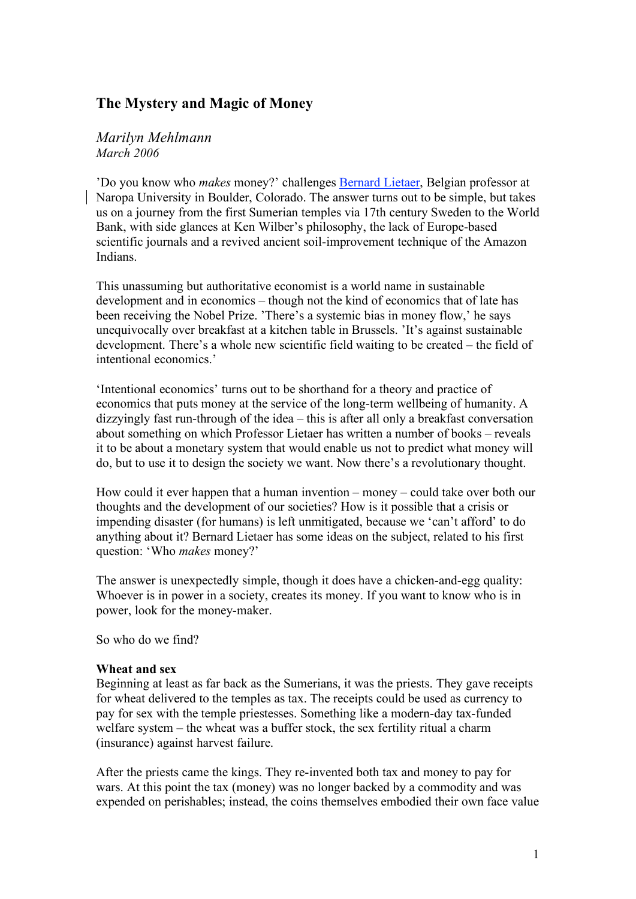# **The Mystery and Magic of Money**

#### *Marilyn Mehlmann March 2006*

'Do you know who *makes* money?' challenges Bernard Lietaer, Belgian professor at Naropa University in Boulder, Colorado. The answer turns out to be simple, but takes us on a journey from the first Sumerian temples via 17th century Sweden to the World Bank, with side glances at Ken Wilber's philosophy, the lack of Europe-based scientific journals and a revived ancient soil-improvement technique of the Amazon Indians.

This unassuming but authoritative economist is a world name in sustainable development and in economics – though not the kind of economics that of late has been receiving the Nobel Prize. 'There's a systemic bias in money flow,' he says unequivocally over breakfast at a kitchen table in Brussels. 'It's against sustainable development. There's a whole new scientific field waiting to be created – the field of intentional economics.'

'Intentional economics' turns out to be shorthand for a theory and practice of economics that puts money at the service of the long-term wellbeing of humanity. A dizzyingly fast run-through of the idea – this is after all only a breakfast conversation about something on which Professor Lietaer has written a number of books – reveals it to be about a monetary system that would enable us not to predict what money will do, but to use it to design the society we want. Now there's a revolutionary thought.

How could it ever happen that a human invention – money – could take over both our thoughts and the development of our societies? How is it possible that a crisis or impending disaster (for humans) is left unmitigated, because we 'can't afford' to do anything about it? Bernard Lietaer has some ideas on the subject, related to his first question: 'Who *makes* money?'

The answer is unexpectedly simple, though it does have a chicken-and-egg quality: Whoever is in power in a society, creates its money. If you want to know who is in power, look for the money-maker.

So who do we find?

#### **Wheat and sex**

Beginning at least as far back as the Sumerians, it was the priests. They gave receipts for wheat delivered to the temples as tax. The receipts could be used as currency to pay for sex with the temple priestesses. Something like a modern-day tax-funded welfare system – the wheat was a buffer stock, the sex fertility ritual a charm (insurance) against harvest failure.

After the priests came the kings. They re-invented both tax and money to pay for wars. At this point the tax (money) was no longer backed by a commodity and was expended on perishables; instead, the coins themselves embodied their own face value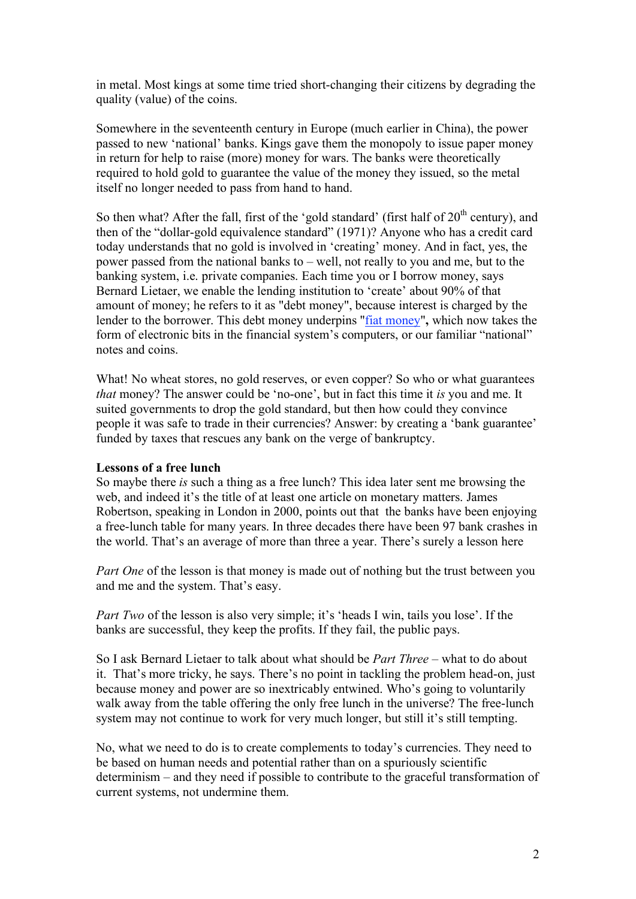in metal. Most kings at some time tried short-changing their citizens by degrading the quality (value) of the coins.

Somewhere in the seventeenth century in Europe (much earlier in China), the power passed to new 'national' banks. Kings gave them the monopoly to issue paper money in return for help to raise (more) money for wars. The banks were theoretically required to hold gold to guarantee the value of the money they issued, so the metal itself no longer needed to pass from hand to hand.

So then what? After the fall, first of the 'gold standard' (first half of  $20<sup>th</sup>$  century), and then of the "dollar-gold equivalence standard" (1971)? Anyone who has a credit card today understands that no gold is involved in 'creating' money. And in fact, yes, the power passed from the national banks to – well, not really to you and me, but to the banking system, i.e. private companies. Each time you or I borrow money, says Bernard Lietaer, we enable the lending institution to 'create' about 90% of that amount of money; he refers to it as "debt money", because interest is charged by the lender to the borrower. This debt money underpins "fiat money"**,** which now takes the form of electronic bits in the financial system's computers, or our familiar "national" notes and coins.

What! No wheat stores, no gold reserves, or even copper? So who or what guarantees *that* money? The answer could be 'no-one', but in fact this time it *is* you and me. It suited governments to drop the gold standard, but then how could they convince people it was safe to trade in their currencies? Answer: by creating a 'bank guarantee' funded by taxes that rescues any bank on the verge of bankruptcy.

#### **Lessons of a free lunch**

So maybe there *is* such a thing as a free lunch? This idea later sent me browsing the web, and indeed it's the title of at least one article on monetary matters. James Robertson, speaking in London in 2000, points out that the banks have been enjoying a free-lunch table for many years. In three decades there have been 97 bank crashes in the world. That's an average of more than three a year. There's surely a lesson here

*Part One* of the lesson is that money is made out of nothing but the trust between you and me and the system. That's easy.

*Part Two* of the lesson is also very simple; it's 'heads I win, tails you lose'. If the banks are successful, they keep the profits. If they fail, the public pays.

So I ask Bernard Lietaer to talk about what should be *Part Three* – what to do about it. That's more tricky, he says. There's no point in tackling the problem head-on, just because money and power are so inextricably entwined. Who's going to voluntarily walk away from the table offering the only free lunch in the universe? The free-lunch system may not continue to work for very much longer, but still it's still tempting.

No, what we need to do is to create complements to today's currencies. They need to be based on human needs and potential rather than on a spuriously scientific determinism – and they need if possible to contribute to the graceful transformation of current systems, not undermine them.